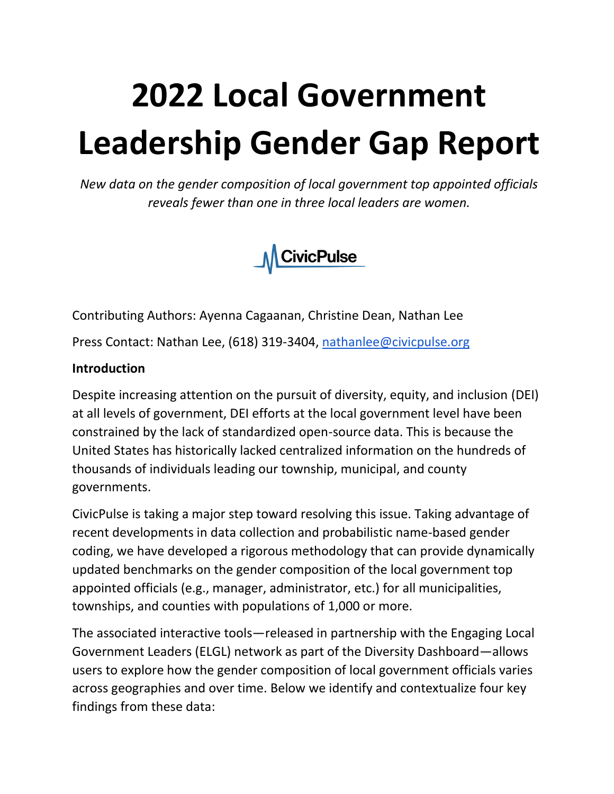# **2022 Local Government Leadership Gender Gap Report**

*New data on the gender composition of local government top appointed officials reveals fewer than one in three local leaders are women.*



Contributing Authors: Ayenna Cagaanan, Christine Dean, Nathan Lee

Press Contact: Nathan Lee, (618) 319-3404, [nathanlee@civicpulse.org](mailto:nathanlee@civicpulse.org)

#### **Introduction**

Despite increasing attention on the pursuit of diversity, equity, and inclusion (DEI) at all levels of government, DEI efforts at the local government level have been constrained by the lack of standardized open-source data. This is because the United States has historically lacked centralized information on the hundreds of thousands of individuals leading our township, municipal, and county governments.

CivicPulse is taking a major step toward resolving this issue. Taking advantage of recent developments in data collection and probabilistic name-based gender coding, we have developed a rigorous methodology that can provide dynamically updated benchmarks on the gender composition of the local government top appointed officials (e.g., manager, administrator, etc.) for all municipalities, townships, and counties with populations of 1,000 or more.

The associated interactive tools—released in partnership with the Engaging Local Government Leaders (ELGL) network as part of the Diversity Dashboard—allows users to explore how the gender composition of local government officials varies across geographies and over time. Below we identify and contextualize four key findings from these data: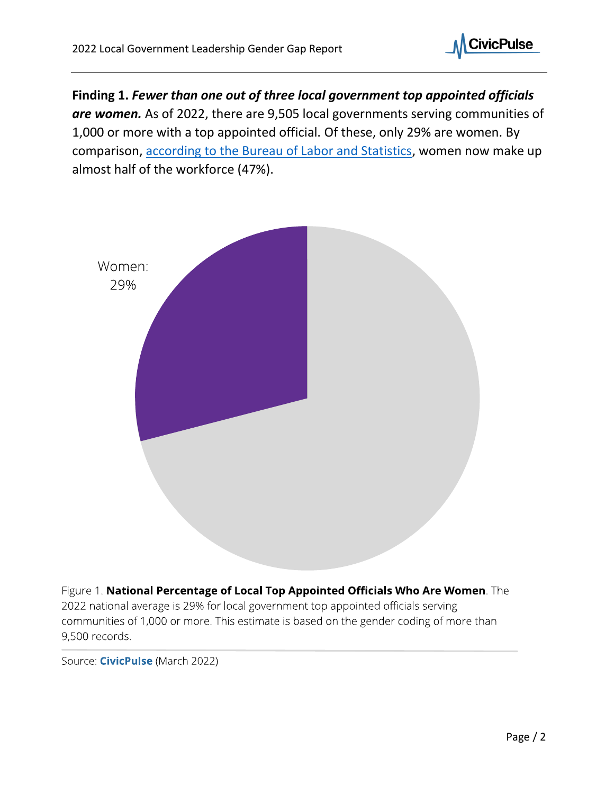

**Finding 1.** *Fewer than one out of three local government top appointed officials are women.* As of 2022, there are 9,505 local governments serving communities of 1,000 or more with a top appointed official. Of these, only 29% are women. By comparison, [according to the Bureau of Labor and Statistics,](https://www.bls.gov/cps/cpsaat03.htm) women now make up almost half of the workforce (47%).



Figure 1. National Percentage of Local Top Appointed Officials Who Are Women. The 2022 national average is 29% for local government top appointed officials serving communities of 1,000 or more. This estimate is based on the gender coding of more than 9,500 records.

Source: CivicPulse (March 2022)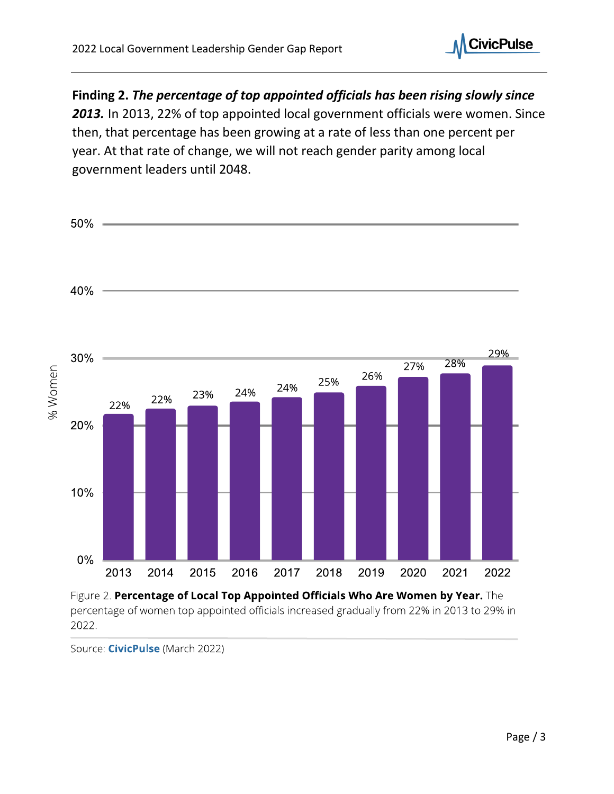

**Finding 2.** *The percentage of top appointed officials has been rising slowly since* 

*2013.* In 2013, 22% of top appointed local government officials were women. Since then, that percentage has been growing at a rate of less than one percent per year. At that rate of change, we will not reach gender parity among local government leaders until 2048.



Source: CivicPulse (March 2022)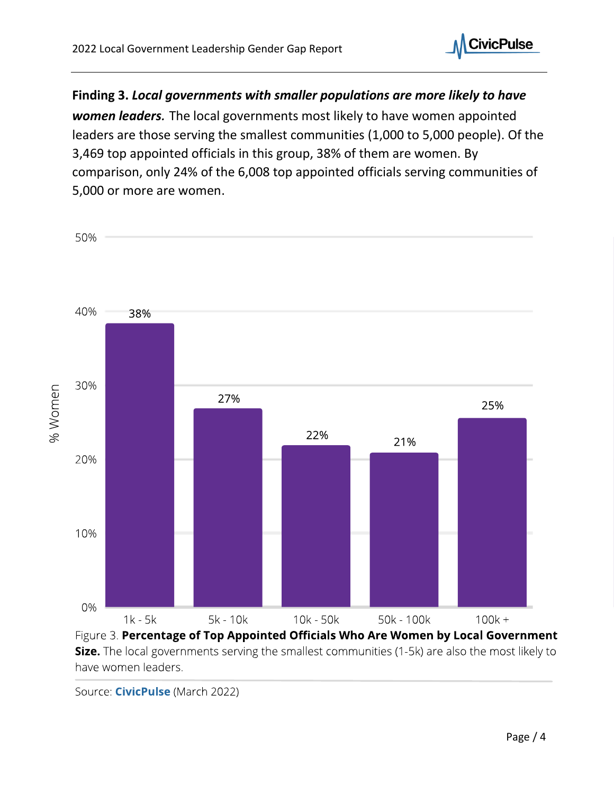

**Finding 3.** *Local governments with smaller populations are more likely to have women leaders.* The local governments most likely to have women appointed leaders are those serving the smallest communities (1,000 to 5,000 people). Of the 3,469 top appointed officials in this group, 38% of them are women. By comparison, only 24% of the 6,008 top appointed officials serving communities of 5,000 or more are women.



Size. The local governments serving the smallest communities (1-5k) are also the most likely to have women leaders.

Source: CivicPulse (March 2022)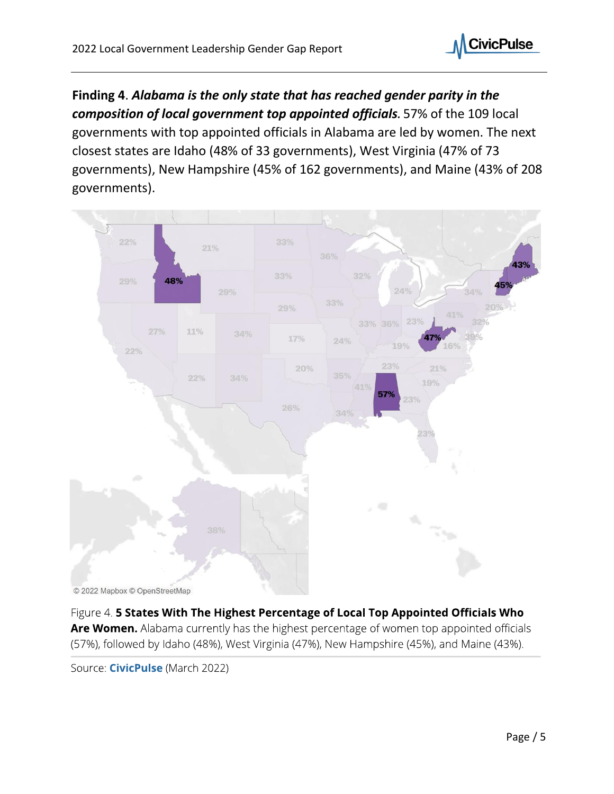

**Finding 4**. *Alabama is the only state that has reached gender parity in the composition of local government top appointed officials.* 57% of the 109 local governments with top appointed officials in Alabama are led by women. The next closest states are Idaho (48% of 33 governments), West Virginia (47% of 73 governments), New Hampshire (45% of 162 governments), and Maine (43% of 208 governments).



Figure 4. 5 States With The Highest Percentage of Local Top Appointed Officials Who Are Women. Alabama currently has the highest percentage of women top appointed officials (57%), followed by Idaho (48%), West Virginia (47%), New Hampshire (45%), and Maine (43%).

Source: CivicPulse (March 2022)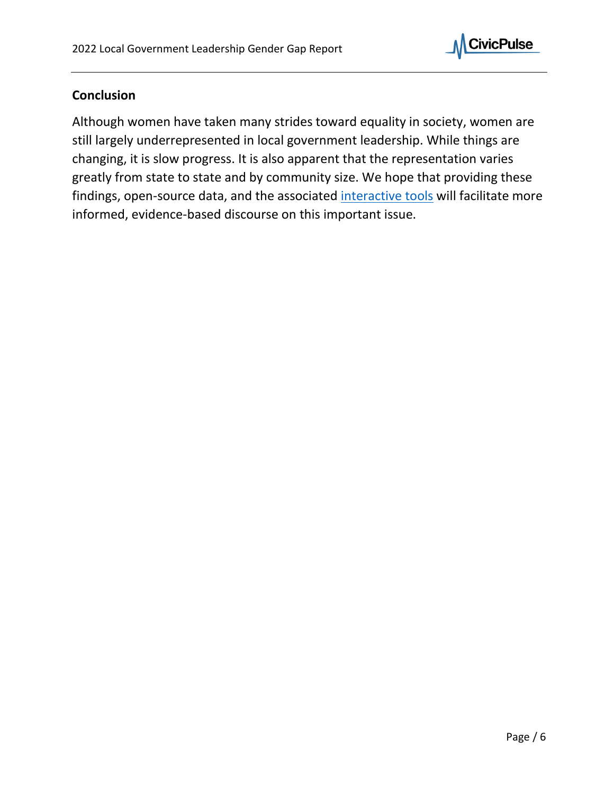

## **Conclusion**

Although women have taken many strides toward equality in society, women are still largely underrepresented in local government leadership. While things are changing, it is slow progress. It is also apparent that the representation varies greatly from state to state and by community size. We hope that providing these findings, open-source data, and the associated [interactive tools](https://diversitydashboard.org/data_research/) will facilitate more informed, evidence-based discourse on this important issue.